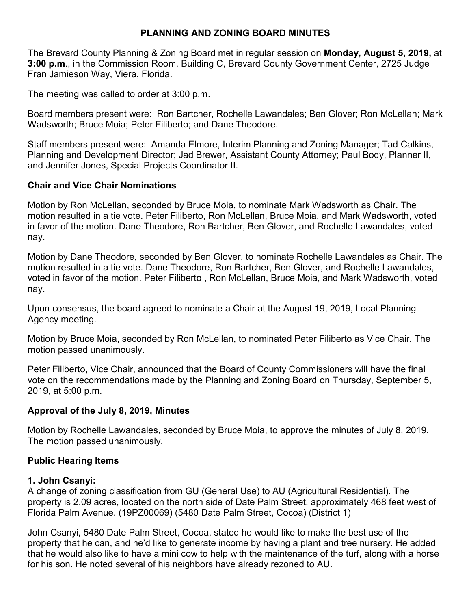## **PLANNING AND ZONING BOARD MINUTES**

The Brevard County Planning & Zoning Board met in regular session on **Monday, August 5, 2019,** at **3:00 p.m**., in the Commission Room, Building C, Brevard County Government Center, 2725 Judge Fran Jamieson Way, Viera, Florida.

The meeting was called to order at 3:00 p.m.

Board members present were: Ron Bartcher, Rochelle Lawandales; Ben Glover; Ron McLellan; Mark Wadsworth; Bruce Moia; Peter Filiberto; and Dane Theodore.

Staff members present were: Amanda Elmore, Interim Planning and Zoning Manager; Tad Calkins, Planning and Development Director; Jad Brewer, Assistant County Attorney; Paul Body, Planner II, and Jennifer Jones, Special Projects Coordinator II.

#### **Chair and Vice Chair Nominations**

Motion by Ron McLellan, seconded by Bruce Moia, to nominate Mark Wadsworth as Chair. The motion resulted in a tie vote. Peter Filiberto, Ron McLellan, Bruce Moia, and Mark Wadsworth, voted in favor of the motion. Dane Theodore, Ron Bartcher, Ben Glover, and Rochelle Lawandales, voted nay.

Motion by Dane Theodore, seconded by Ben Glover, to nominate Rochelle Lawandales as Chair. The motion resulted in a tie vote. Dane Theodore, Ron Bartcher, Ben Glover, and Rochelle Lawandales, voted in favor of the motion. Peter Filiberto , Ron McLellan, Bruce Moia, and Mark Wadsworth, voted nay.

Upon consensus, the board agreed to nominate a Chair at the August 19, 2019, Local Planning Agency meeting.

Motion by Bruce Moia, seconded by Ron McLellan, to nominated Peter Filiberto as Vice Chair. The motion passed unanimously.

Peter Filiberto, Vice Chair, announced that the Board of County Commissioners will have the final vote on the recommendations made by the Planning and Zoning Board on Thursday, September 5, 2019, at 5:00 p.m.

## **Approval of the July 8, 2019, Minutes**

Motion by Rochelle Lawandales, seconded by Bruce Moia, to approve the minutes of July 8, 2019. The motion passed unanimously.

## **Public Hearing Items**

#### **1. John Csanyi:**

A change of zoning classification from GU (General Use) to AU (Agricultural Residential). The property is 2.09 acres, located on the north side of Date Palm Street, approximately 468 feet west of Florida Palm Avenue. (19PZ00069) (5480 Date Palm Street, Cocoa) (District 1)

John Csanyi, 5480 Date Palm Street, Cocoa, stated he would like to make the best use of the property that he can, and he'd like to generate income by having a plant and tree nursery. He added that he would also like to have a mini cow to help with the maintenance of the turf, along with a horse for his son. He noted several of his neighbors have already rezoned to AU.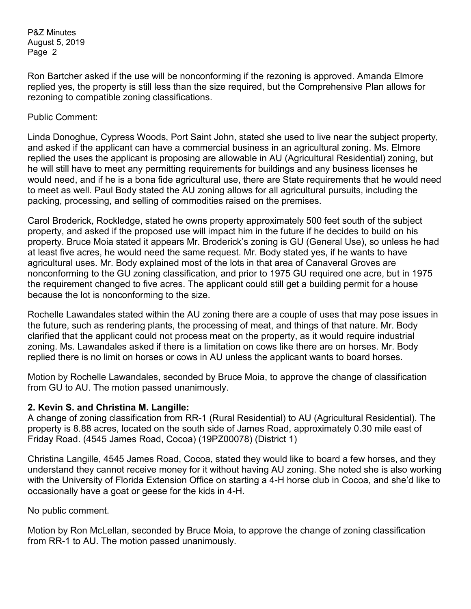Ron Bartcher asked if the use will be nonconforming if the rezoning is approved. Amanda Elmore replied yes, the property is still less than the size required, but the Comprehensive Plan allows for rezoning to compatible zoning classifications.

Public Comment:

Linda Donoghue, Cypress Woods, Port Saint John, stated she used to live near the subject property, and asked if the applicant can have a commercial business in an agricultural zoning. Ms. Elmore replied the uses the applicant is proposing are allowable in AU (Agricultural Residential) zoning, but he will still have to meet any permitting requirements for buildings and any business licenses he would need, and if he is a bona fide agricultural use, there are State requirements that he would need to meet as well. Paul Body stated the AU zoning allows for all agricultural pursuits, including the packing, processing, and selling of commodities raised on the premises.

Carol Broderick, Rockledge, stated he owns property approximately 500 feet south of the subject property, and asked if the proposed use will impact him in the future if he decides to build on his property. Bruce Moia stated it appears Mr. Broderick's zoning is GU (General Use), so unless he had at least five acres, he would need the same request. Mr. Body stated yes, if he wants to have agricultural uses. Mr. Body explained most of the lots in that area of Canaveral Groves are nonconforming to the GU zoning classification, and prior to 1975 GU required one acre, but in 1975 the requirement changed to five acres. The applicant could still get a building permit for a house because the lot is nonconforming to the size.

Rochelle Lawandales stated within the AU zoning there are a couple of uses that may pose issues in the future, such as rendering plants, the processing of meat, and things of that nature. Mr. Body clarified that the applicant could not process meat on the property, as it would require industrial zoning. Ms. Lawandales asked if there is a limitation on cows like there are on horses. Mr. Body replied there is no limit on horses or cows in AU unless the applicant wants to board horses.

Motion by Rochelle Lawandales, seconded by Bruce Moia, to approve the change of classification from GU to AU. The motion passed unanimously.

## **2. Kevin S. and Christina M. Langille:**

A change of zoning classification from RR-1 (Rural Residential) to AU (Agricultural Residential). The property is 8.88 acres, located on the south side of James Road, approximately 0.30 mile east of Friday Road. (4545 James Road, Cocoa) (19PZ00078) (District 1)

Christina Langille, 4545 James Road, Cocoa, stated they would like to board a few horses, and they understand they cannot receive money for it without having AU zoning. She noted she is also working with the University of Florida Extension Office on starting a 4-H horse club in Cocoa, and she'd like to occasionally have a goat or geese for the kids in 4-H.

No public comment.

Motion by Ron McLellan, seconded by Bruce Moia, to approve the change of zoning classification from RR-1 to AU. The motion passed unanimously.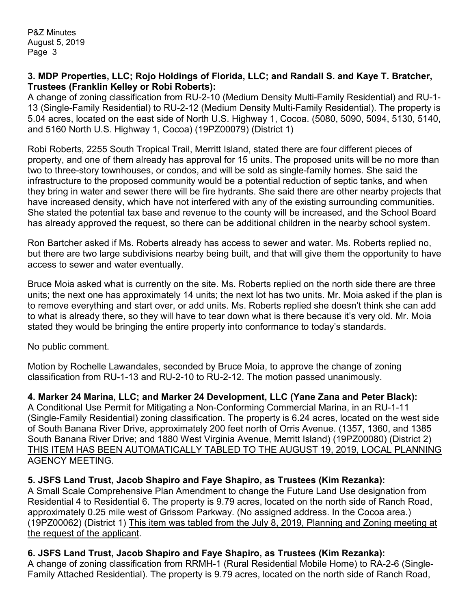#### **3. MDP Properties, LLC; Rojo Holdings of Florida, LLC; and Randall S. and Kaye T. Bratcher, Trustees (Franklin Kelley or Robi Roberts):**

A change of zoning classification from RU-2-10 (Medium Density Multi-Family Residential) and RU-1- 13 (Single-Family Residential) to RU-2-12 (Medium Density Multi-Family Residential). The property is 5.04 acres, located on the east side of North U.S. Highway 1, Cocoa. (5080, 5090, 5094, 5130, 5140, and 5160 North U.S. Highway 1, Cocoa) (19PZ00079) (District 1)

Robi Roberts, 2255 South Tropical Trail, Merritt Island, stated there are four different pieces of property, and one of them already has approval for 15 units. The proposed units will be no more than two to three-story townhouses, or condos, and will be sold as single-family homes. She said the infrastructure to the proposed community would be a potential reduction of septic tanks, and when they bring in water and sewer there will be fire hydrants. She said there are other nearby projects that have increased density, which have not interfered with any of the existing surrounding communities. She stated the potential tax base and revenue to the county will be increased, and the School Board has already approved the request, so there can be additional children in the nearby school system.

Ron Bartcher asked if Ms. Roberts already has access to sewer and water. Ms. Roberts replied no, but there are two large subdivisions nearby being built, and that will give them the opportunity to have access to sewer and water eventually.

Bruce Moia asked what is currently on the site. Ms. Roberts replied on the north side there are three units; the next one has approximately 14 units; the next lot has two units. Mr. Moia asked if the plan is to remove everything and start over, or add units. Ms. Roberts replied she doesn't think she can add to what is already there, so they will have to tear down what is there because it's very old. Mr. Moia stated they would be bringing the entire property into conformance to today's standards.

No public comment.

Motion by Rochelle Lawandales, seconded by Bruce Moia, to approve the change of zoning classification from RU-1-13 and RU-2-10 to RU-2-12. The motion passed unanimously.

**4. Marker 24 Marina, LLC; and Marker 24 Development, LLC (Yane Zana and Peter Black):**

A Conditional Use Permit for Mitigating a Non-Conforming Commercial Marina, in an RU-1-11 (Single-Family Residential) zoning classification. The property is 6.24 acres, located on the west side of South Banana River Drive, approximately 200 feet north of Orris Avenue. (1357, 1360, and 1385 South Banana River Drive; and 1880 West Virginia Avenue, Merritt Island) (19PZ00080) (District 2) THIS ITEM HAS BEEN AUTOMATICALLY TABLED TO THE AUGUST 19, 2019, LOCAL PLANNING AGENCY MEETING.

## **5. JSFS Land Trust, Jacob Shapiro and Faye Shapiro, as Trustees (Kim Rezanka):**

A Small Scale Comprehensive Plan Amendment to change the Future Land Use designation from Residential 4 to Residential 6. The property is 9.79 acres, located on the north side of Ranch Road, approximately 0.25 mile west of Grissom Parkway. (No assigned address. In the Cocoa area.) (19PZ00062) (District 1) This item was tabled from the July 8, 2019, Planning and Zoning meeting at the request of the applicant.

# **6. JSFS Land Trust, Jacob Shapiro and Faye Shapiro, as Trustees (Kim Rezanka):**

A change of zoning classification from RRMH-1 (Rural Residential Mobile Home) to RA-2-6 (Single-Family Attached Residential). The property is 9.79 acres, located on the north side of Ranch Road,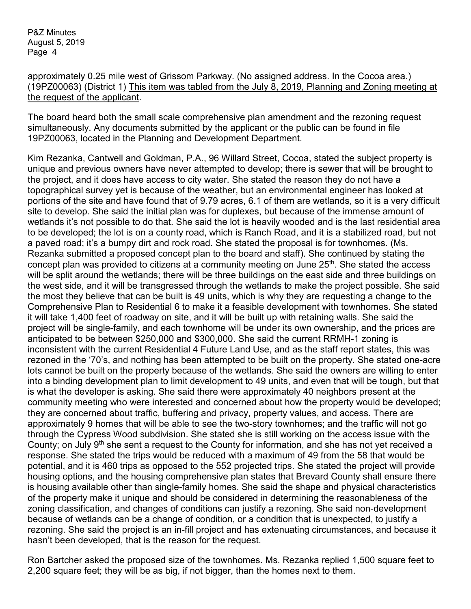approximately 0.25 mile west of Grissom Parkway. (No assigned address. In the Cocoa area.) (19PZ00063) (District 1) This item was tabled from the July 8, 2019, Planning and Zoning meeting at the request of the applicant.

The board heard both the small scale comprehensive plan amendment and the rezoning request simultaneously. Any documents submitted by the applicant or the public can be found in file 19PZ00063, located in the Planning and Development Department.

Kim Rezanka, Cantwell and Goldman, P.A., 96 Willard Street, Cocoa, stated the subject property is unique and previous owners have never attempted to develop; there is sewer that will be brought to the project, and it does have access to city water. She stated the reason they do not have a topographical survey yet is because of the weather, but an environmental engineer has looked at portions of the site and have found that of 9.79 acres, 6.1 of them are wetlands, so it is a very difficult site to develop. She said the initial plan was for duplexes, but because of the immense amount of wetlands it's not possible to do that. She said the lot is heavily wooded and is the last residential area to be developed; the lot is on a county road, which is Ranch Road, and it is a stabilized road, but not a paved road; it's a bumpy dirt and rock road. She stated the proposal is for townhomes. (Ms. Rezanka submitted a proposed concept plan to the board and staff). She continued by stating the concept plan was provided to citizens at a community meeting on June 25<sup>th</sup>. She stated the access will be split around the wetlands; there will be three buildings on the east side and three buildings on the west side, and it will be transgressed through the wetlands to make the project possible. She said the most they believe that can be built is 49 units, which is why they are requesting a change to the Comprehensive Plan to Residential 6 to make it a feasible development with townhomes. She stated it will take 1,400 feet of roadway on site, and it will be built up with retaining walls. She said the project will be single-family, and each townhome will be under its own ownership, and the prices are anticipated to be between \$250,000 and \$300,000. She said the current RRMH-1 zoning is inconsistent with the current Residential 4 Future Land Use, and as the staff report states, this was rezoned in the '70's, and nothing has been attempted to be built on the property. She stated one-acre lots cannot be built on the property because of the wetlands. She said the owners are willing to enter into a binding development plan to limit development to 49 units, and even that will be tough, but that is what the developer is asking. She said there were approximately 40 neighbors present at the community meeting who were interested and concerned about how the property would be developed; they are concerned about traffic, buffering and privacy, property values, and access. There are approximately 9 homes that will be able to see the two-story townhomes; and the traffic will not go through the Cypress Wood subdivision. She stated she is still working on the access issue with the County; on July 9th she sent a request to the County for information, and she has not yet received a response. She stated the trips would be reduced with a maximum of 49 from the 58 that would be potential, and it is 460 trips as opposed to the 552 projected trips. She stated the project will provide housing options, and the housing comprehensive plan states that Brevard County shall ensure there is housing available other than single-family homes. She said the shape and physical characteristics of the property make it unique and should be considered in determining the reasonableness of the zoning classification, and changes of conditions can justify a rezoning. She said non-development because of wetlands can be a change of condition, or a condition that is unexpected, to justify a rezoning. She said the project is an in-fill project and has extenuating circumstances, and because it hasn't been developed, that is the reason for the request.

Ron Bartcher asked the proposed size of the townhomes. Ms. Rezanka replied 1,500 square feet to 2,200 square feet; they will be as big, if not bigger, than the homes next to them.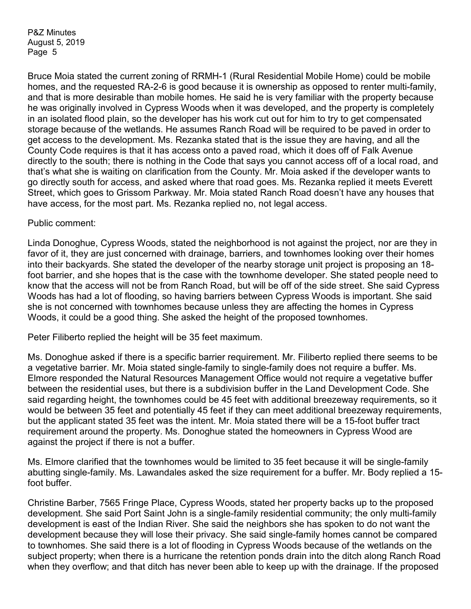Bruce Moia stated the current zoning of RRMH-1 (Rural Residential Mobile Home) could be mobile homes, and the requested RA-2-6 is good because it is ownership as opposed to renter multi-family, and that is more desirable than mobile homes. He said he is very familiar with the property because he was originally involved in Cypress Woods when it was developed, and the property is completely in an isolated flood plain, so the developer has his work cut out for him to try to get compensated storage because of the wetlands. He assumes Ranch Road will be required to be paved in order to get access to the development. Ms. Rezanka stated that is the issue they are having, and all the County Code requires is that it has access onto a paved road, which it does off of Falk Avenue directly to the south; there is nothing in the Code that says you cannot access off of a local road, and that's what she is waiting on clarification from the County. Mr. Moia asked if the developer wants to go directly south for access, and asked where that road goes. Ms. Rezanka replied it meets Everett Street, which goes to Grissom Parkway. Mr. Moia stated Ranch Road doesn't have any houses that have access, for the most part. Ms. Rezanka replied no, not legal access.

Public comment:

Linda Donoghue, Cypress Woods, stated the neighborhood is not against the project, nor are they in favor of it, they are just concerned with drainage, barriers, and townhomes looking over their homes into their backyards. She stated the developer of the nearby storage unit project is proposing an 18 foot barrier, and she hopes that is the case with the townhome developer. She stated people need to know that the access will not be from Ranch Road, but will be off of the side street. She said Cypress Woods has had a lot of flooding, so having barriers between Cypress Woods is important. She said she is not concerned with townhomes because unless they are affecting the homes in Cypress Woods, it could be a good thing. She asked the height of the proposed townhomes.

Peter Filiberto replied the height will be 35 feet maximum.

Ms. Donoghue asked if there is a specific barrier requirement. Mr. Filiberto replied there seems to be a vegetative barrier. Mr. Moia stated single-family to single-family does not require a buffer. Ms. Elmore responded the Natural Resources Management Office would not require a vegetative buffer between the residential uses, but there is a subdivision buffer in the Land Development Code. She said regarding height, the townhomes could be 45 feet with additional breezeway requirements, so it would be between 35 feet and potentially 45 feet if they can meet additional breezeway requirements, but the applicant stated 35 feet was the intent. Mr. Moia stated there will be a 15-foot buffer tract requirement around the property. Ms. Donoghue stated the homeowners in Cypress Wood are against the project if there is not a buffer.

Ms. Elmore clarified that the townhomes would be limited to 35 feet because it will be single-family abutting single-family. Ms. Lawandales asked the size requirement for a buffer. Mr. Body replied a 15 foot buffer.

Christine Barber, 7565 Fringe Place, Cypress Woods, stated her property backs up to the proposed development. She said Port Saint John is a single-family residential community; the only multi-family development is east of the Indian River. She said the neighbors she has spoken to do not want the development because they will lose their privacy. She said single-family homes cannot be compared to townhomes. She said there is a lot of flooding in Cypress Woods because of the wetlands on the subject property; when there is a hurricane the retention ponds drain into the ditch along Ranch Road when they overflow; and that ditch has never been able to keep up with the drainage. If the proposed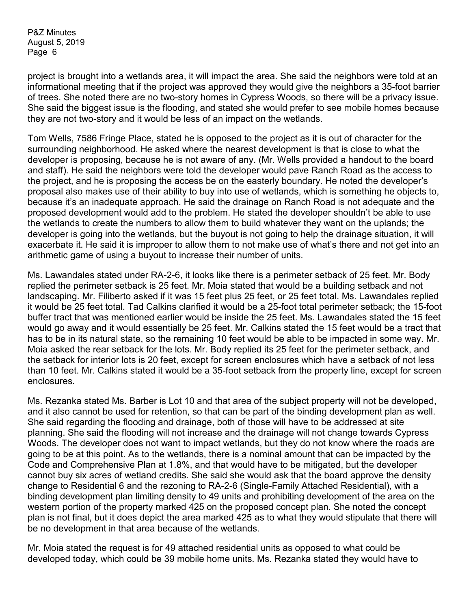project is brought into a wetlands area, it will impact the area. She said the neighbors were told at an informational meeting that if the project was approved they would give the neighbors a 35-foot barrier of trees. She noted there are no two-story homes in Cypress Woods, so there will be a privacy issue. She said the biggest issue is the flooding, and stated she would prefer to see mobile homes because they are not two-story and it would be less of an impact on the wetlands.

Tom Wells, 7586 Fringe Place, stated he is opposed to the project as it is out of character for the surrounding neighborhood. He asked where the nearest development is that is close to what the developer is proposing, because he is not aware of any. (Mr. Wells provided a handout to the board and staff). He said the neighbors were told the developer would pave Ranch Road as the access to the project, and he is proposing the access be on the easterly boundary. He noted the developer's proposal also makes use of their ability to buy into use of wetlands, which is something he objects to, because it's an inadequate approach. He said the drainage on Ranch Road is not adequate and the proposed development would add to the problem. He stated the developer shouldn't be able to use the wetlands to create the numbers to allow them to build whatever they want on the uplands; the developer is going into the wetlands, but the buyout is not going to help the drainage situation, it will exacerbate it. He said it is improper to allow them to not make use of what's there and not get into an arithmetic game of using a buyout to increase their number of units.

Ms. Lawandales stated under RA-2-6, it looks like there is a perimeter setback of 25 feet. Mr. Body replied the perimeter setback is 25 feet. Mr. Moia stated that would be a building setback and not landscaping. Mr. Filiberto asked if it was 15 feet plus 25 feet, or 25 feet total. Ms. Lawandales replied it would be 25 feet total. Tad Calkins clarified it would be a 25-foot total perimeter setback; the 15-foot buffer tract that was mentioned earlier would be inside the 25 feet. Ms. Lawandales stated the 15 feet would go away and it would essentially be 25 feet. Mr. Calkins stated the 15 feet would be a tract that has to be in its natural state, so the remaining 10 feet would be able to be impacted in some way. Mr. Moia asked the rear setback for the lots. Mr. Body replied its 25 feet for the perimeter setback, and the setback for interior lots is 20 feet, except for screen enclosures which have a setback of not less than 10 feet. Mr. Calkins stated it would be a 35-foot setback from the property line, except for screen enclosures.

Ms. Rezanka stated Ms. Barber is Lot 10 and that area of the subject property will not be developed, and it also cannot be used for retention, so that can be part of the binding development plan as well. She said regarding the flooding and drainage, both of those will have to be addressed at site planning. She said the flooding will not increase and the drainage will not change towards Cypress Woods. The developer does not want to impact wetlands, but they do not know where the roads are going to be at this point. As to the wetlands, there is a nominal amount that can be impacted by the Code and Comprehensive Plan at 1.8%, and that would have to be mitigated, but the developer cannot buy six acres of wetland credits. She said she would ask that the board approve the density change to Residential 6 and the rezoning to RA-2-6 (Single-Family Attached Residential), with a binding development plan limiting density to 49 units and prohibiting development of the area on the western portion of the property marked 425 on the proposed concept plan. She noted the concept plan is not final, but it does depict the area marked 425 as to what they would stipulate that there will be no development in that area because of the wetlands.

Mr. Moia stated the request is for 49 attached residential units as opposed to what could be developed today, which could be 39 mobile home units. Ms. Rezanka stated they would have to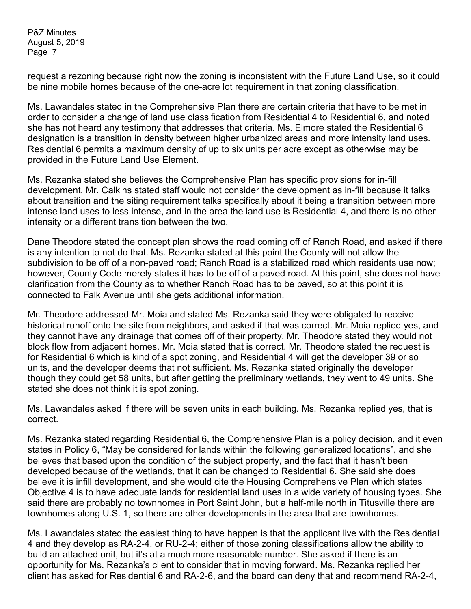request a rezoning because right now the zoning is inconsistent with the Future Land Use, so it could be nine mobile homes because of the one-acre lot requirement in that zoning classification.

Ms. Lawandales stated in the Comprehensive Plan there are certain criteria that have to be met in order to consider a change of land use classification from Residential 4 to Residential 6, and noted she has not heard any testimony that addresses that criteria. Ms. Elmore stated the Residential 6 designation is a transition in density between higher urbanized areas and more intensity land uses. Residential 6 permits a maximum density of up to six units per acre except as otherwise may be provided in the Future Land Use Element.

Ms. Rezanka stated she believes the Comprehensive Plan has specific provisions for in-fill development. Mr. Calkins stated staff would not consider the development as in-fill because it talks about transition and the siting requirement talks specifically about it being a transition between more intense land uses to less intense, and in the area the land use is Residential 4, and there is no other intensity or a different transition between the two.

Dane Theodore stated the concept plan shows the road coming off of Ranch Road, and asked if there is any intention to not do that. Ms. Rezanka stated at this point the County will not allow the subdivision to be off of a non-paved road; Ranch Road is a stabilized road which residents use now; however, County Code merely states it has to be off of a paved road. At this point, she does not have clarification from the County as to whether Ranch Road has to be paved, so at this point it is connected to Falk Avenue until she gets additional information.

Mr. Theodore addressed Mr. Moia and stated Ms. Rezanka said they were obligated to receive historical runoff onto the site from neighbors, and asked if that was correct. Mr. Moia replied yes, and they cannot have any drainage that comes off of their property. Mr. Theodore stated they would not block flow from adjacent homes. Mr. Moia stated that is correct. Mr. Theodore stated the request is for Residential 6 which is kind of a spot zoning, and Residential 4 will get the developer 39 or so units, and the developer deems that not sufficient. Ms. Rezanka stated originally the developer though they could get 58 units, but after getting the preliminary wetlands, they went to 49 units. She stated she does not think it is spot zoning.

Ms. Lawandales asked if there will be seven units in each building. Ms. Rezanka replied yes, that is correct.

Ms. Rezanka stated regarding Residential 6, the Comprehensive Plan is a policy decision, and it even states in Policy 6, "May be considered for lands within the following generalized locations", and she believes that based upon the condition of the subject property, and the fact that it hasn't been developed because of the wetlands, that it can be changed to Residential 6. She said she does believe it is infill development, and she would cite the Housing Comprehensive Plan which states Objective 4 is to have adequate lands for residential land uses in a wide variety of housing types. She said there are probably no townhomes in Port Saint John, but a half-mile north in Titusville there are townhomes along U.S. 1, so there are other developments in the area that are townhomes.

Ms. Lawandales stated the easiest thing to have happen is that the applicant live with the Residential 4 and they develop as RA-2-4, or RU-2-4; either of those zoning classifications allow the ability to build an attached unit, but it's at a much more reasonable number. She asked if there is an opportunity for Ms. Rezanka's client to consider that in moving forward. Ms. Rezanka replied her client has asked for Residential 6 and RA-2-6, and the board can deny that and recommend RA-2-4,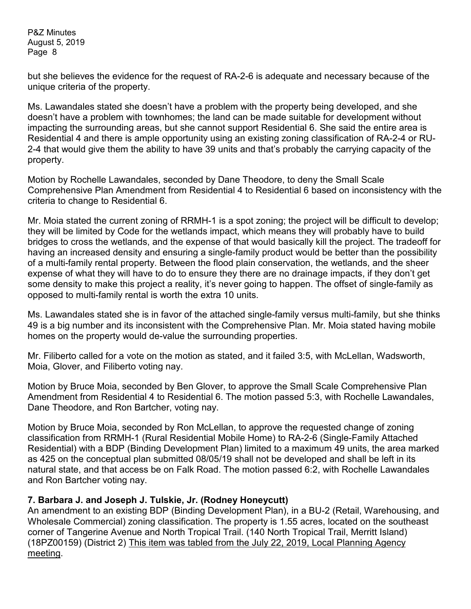but she believes the evidence for the request of RA-2-6 is adequate and necessary because of the unique criteria of the property.

Ms. Lawandales stated she doesn't have a problem with the property being developed, and she doesn't have a problem with townhomes; the land can be made suitable for development without impacting the surrounding areas, but she cannot support Residential 6. She said the entire area is Residential 4 and there is ample opportunity using an existing zoning classification of RA-2-4 or RU-2-4 that would give them the ability to have 39 units and that's probably the carrying capacity of the property.

Motion by Rochelle Lawandales, seconded by Dane Theodore, to deny the Small Scale Comprehensive Plan Amendment from Residential 4 to Residential 6 based on inconsistency with the criteria to change to Residential 6.

Mr. Moia stated the current zoning of RRMH-1 is a spot zoning; the project will be difficult to develop; they will be limited by Code for the wetlands impact, which means they will probably have to build bridges to cross the wetlands, and the expense of that would basically kill the project. The tradeoff for having an increased density and ensuring a single-family product would be better than the possibility of a multi-family rental property. Between the flood plain conservation, the wetlands, and the sheer expense of what they will have to do to ensure they there are no drainage impacts, if they don't get some density to make this project a reality, it's never going to happen. The offset of single-family as opposed to multi-family rental is worth the extra 10 units.

Ms. Lawandales stated she is in favor of the attached single-family versus multi-family, but she thinks 49 is a big number and its inconsistent with the Comprehensive Plan. Mr. Moia stated having mobile homes on the property would de-value the surrounding properties.

Mr. Filiberto called for a vote on the motion as stated, and it failed 3:5, with McLellan, Wadsworth, Moia, Glover, and Filiberto voting nay.

Motion by Bruce Moia, seconded by Ben Glover, to approve the Small Scale Comprehensive Plan Amendment from Residential 4 to Residential 6. The motion passed 5:3, with Rochelle Lawandales, Dane Theodore, and Ron Bartcher, voting nay.

Motion by Bruce Moia, seconded by Ron McLellan, to approve the requested change of zoning classification from RRMH-1 (Rural Residential Mobile Home) to RA-2-6 (Single-Family Attached Residential) with a BDP (Binding Development Plan) limited to a maximum 49 units, the area marked as 425 on the conceptual plan submitted 08/05/19 shall not be developed and shall be left in its natural state, and that access be on Falk Road. The motion passed 6:2, with Rochelle Lawandales and Ron Bartcher voting nay.

## **7. Barbara J. and Joseph J. Tulskie, Jr. (Rodney Honeycutt)**

An amendment to an existing BDP (Binding Development Plan), in a BU-2 (Retail, Warehousing, and Wholesale Commercial) zoning classification. The property is 1.55 acres, located on the southeast corner of Tangerine Avenue and North Tropical Trail. (140 North Tropical Trail, Merritt Island) (18PZ00159) (District 2) This item was tabled from the July 22, 2019, Local Planning Agency meeting.